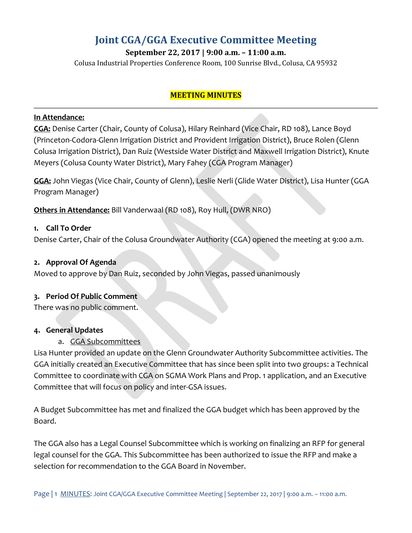# **Joint CGA/GGA Executive Committee Meeting**

**September 22, 2017 | 9:00 a.m. – 11:00 a.m.**

Colusa Industrial Properties Conference Room, 100 Sunrise Blvd., Colusa, CA 95932

### **MEETING MINUTES**

#### **In Attendance:**

**CGA:** Denise Carter (Chair, County of Colusa), Hilary Reinhard (Vice Chair, RD 108), Lance Boyd (Princeton-Codora-Glenn Irrigation District and Provident Irrigation District), Bruce Rolen (Glenn Colusa Irrigation District), Dan Ruiz (Westside Water District and Maxwell Irrigation District), Knute Meyers (Colusa County Water District), Mary Fahey (CGA Program Manager)

**GGA:** John Viegas (Vice Chair, County of Glenn), Leslie Nerli (Glide Water District), Lisa Hunter (GGA Program Manager)

**Others in Attendance:** Bill Vanderwaal (RD 108), Roy Hull, (DWR NRO)

#### **1. Call To Order**

Denise Carter, Chair of the Colusa Groundwater Authority (CGA) opened the meeting at 9:00 a.m.

#### **2. Approval Of Agenda**

Moved to approve by Dan Ruiz, seconded by John Viegas, passed unanimously

#### **3. Period Of Public Comment**

There was no public comment.

#### **4. General Updates**

### a. GGA Subcommittees

Lisa Hunter provided an update on the Glenn Groundwater Authority Subcommittee activities. The GGA initially created an Executive Committee that has since been split into two groups: a Technical Committee to coordinate with CGA on SGMA Work Plans and Prop. 1 application, and an Executive Committee that will focus on policy and inter-GSA issues.

A Budget Subcommittee has met and finalized the GGA budget which has been approved by the Board.

The GGA also has a Legal Counsel Subcommittee which is working on finalizing an RFP for general legal counsel for the GGA. This Subcommittee has been authorized to issue the RFP and make a selection for recommendation to the GGA Board in November.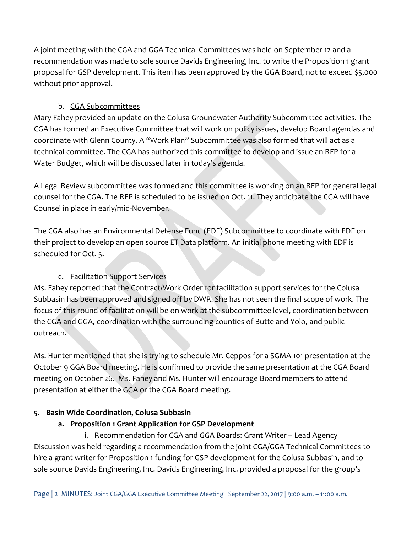A joint meeting with the CGA and GGA Technical Committees was held on September 12 and a recommendation was made to sole source Davids Engineering, Inc. to write the Proposition 1 grant proposal for GSP development. This item has been approved by the GGA Board, not to exceed \$5,000 without prior approval.

### b. CGA Subcommittees

Mary Fahey provided an update on the Colusa Groundwater Authority Subcommittee activities. The CGA has formed an Executive Committee that will work on policy issues, develop Board agendas and coordinate with Glenn County. A "Work Plan" Subcommittee was also formed that will act as a technical committee. The CGA has authorized this committee to develop and issue an RFP for a Water Budget, which will be discussed later in today's agenda.

A Legal Review subcommittee was formed and this committee is working on an RFP for general legal counsel for the CGA. The RFP is scheduled to be issued on Oct. 11. They anticipate the CGA will have Counsel in place in early/mid-November.

The CGA also has an Environmental Defense Fund (EDF) Subcommittee to coordinate with EDF on their project to develop an open source ET Data platform. An initial phone meeting with EDF is scheduled for Oct. 5.

# c. Facilitation Support Services

Ms. Fahey reported that the Contract/Work Order for facilitation support services for the Colusa Subbasin has been approved and signed off by DWR. She has not seen the final scope of work. The focus of this round of facilitation will be on work at the subcommittee level, coordination between the CGA and GGA, coordination with the surrounding counties of Butte and Yolo, and public outreach.

Ms. Hunter mentioned that she is trying to schedule Mr. Ceppos for a SGMA 101 presentation at the October 9 GGA Board meeting. He is confirmed to provide the same presentation at the CGA Board meeting on October 26. Ms. Fahey and Ms. Hunter will encourage Board members to attend presentation at either the GGA or the CGA Board meeting.

# **5. Basin Wide Coordination, Colusa Subbasin**

# **a. Proposition 1 Grant Application for GSP Development**

i. Recommendation for CGA and GGA Boards: Grant Writer – Lead Agency Discussion was held regarding a recommendation from the joint CGA/GGA Technical Committees to hire a grant writer for Proposition 1 funding for GSP development for the Colusa Subbasin, and to sole source Davids Engineering, Inc. Davids Engineering, Inc. provided a proposal for the group's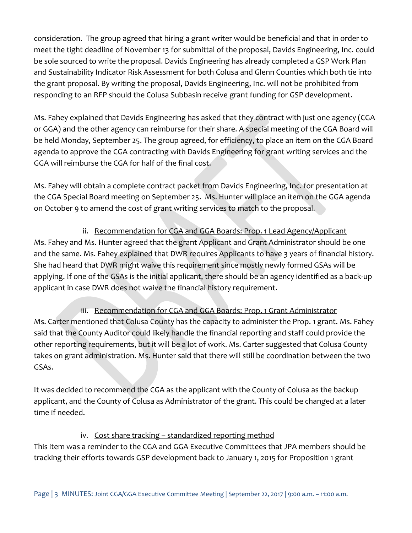consideration. The group agreed that hiring a grant writer would be beneficial and that in order to meet the tight deadline of November 13 for submittal of the proposal, Davids Engineering, Inc. could be sole sourced to write the proposal. Davids Engineering has already completed a GSP Work Plan and Sustainability Indicator Risk Assessment for both Colusa and Glenn Counties which both tie into the grant proposal. By writing the proposal, Davids Engineering, Inc. will not be prohibited from responding to an RFP should the Colusa Subbasin receive grant funding for GSP development.

Ms. Fahey explained that Davids Engineering has asked that they contract with just one agency (CGA or GGA) and the other agency can reimburse for their share. A special meeting of the CGA Board will be held Monday, September 25. The group agreed, for efficiency, to place an item on the CGA Board agenda to approve the CGA contracting with Davids Engineering for grant writing services and the GGA will reimburse the CGA for half of the final cost.

Ms. Fahey will obtain a complete contract packet from Davids Engineering, Inc. for presentation at the CGA Special Board meeting on September 25. Ms. Hunter will place an item on the GGA agenda on October 9 to amend the cost of grant writing services to match to the proposal.

ii. Recommendation for CGA and GGA Boards: Prop. 1 Lead Agency/Applicant Ms. Fahey and Ms. Hunter agreed that the grant Applicant and Grant Administrator should be one and the same. Ms. Fahey explained that DWR requires Applicants to have 3 years of financial history. She had heard that DWR might waive this requirement since mostly newly formed GSAs will be applying. If one of the GSAs is the initial applicant, there should be an agency identified as a back-up applicant in case DWR does not waive the financial history requirement.

iii. Recommendation for CGA and GGA Boards: Prop. 1 Grant Administrator Ms. Carter mentioned that Colusa County has the capacity to administer the Prop. 1 grant. Ms. Fahey said that the County Auditor could likely handle the financial reporting and staff could provide the other reporting requirements, but it will be a lot of work. Ms. Carter suggested that Colusa County takes on grant administration. Ms. Hunter said that there will still be coordination between the two GSAs.

It was decided to recommend the CGA as the applicant with the County of Colusa as the backup applicant, and the County of Colusa as Administrator of the grant. This could be changed at a later time if needed.

# iv. Cost share tracking – standardized reporting method

This item was a reminder to the CGA and GGA Executive Committees that JPA members should be tracking their efforts towards GSP development back to January 1, 2015 for Proposition 1 grant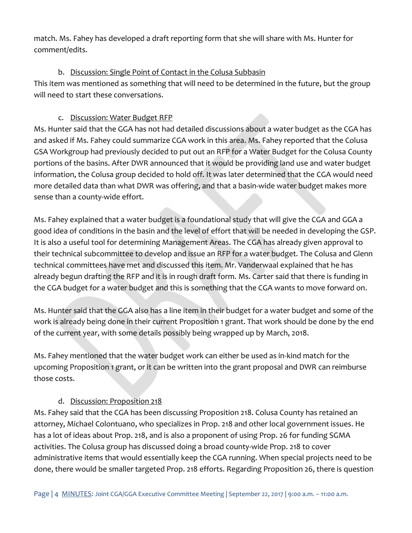match. Ms. Fahey has developed a draft reporting form that she will share with Ms. Hunter for comment/edits.

### b. Discussion: Single Point of Contact in the Colusa Subbasin

This item was mentioned as something that will need to be determined in the future, but the group will need to start these conversations.

### c. Discussion: Water Budget RFP

Ms. Hunter said that the GGA has not had detailed discussions about a water budget as the CGA has and asked if Ms. Fahey could summarize CGA work in this area. Ms. Fahey reported that the Colusa GSA Workgroup had previously decided to put out an RFP for a Water Budget for the Colusa County portions of the basins. After DWR announced that it would be providing land use and water budget information, the Colusa group decided to hold off. It was later determined that the CGA would need more detailed data than what DWR was offering, and that a basin-wide water budget makes more sense than a county-wide effort.

Ms. Fahey explained that a water budget is a foundational study that will give the CGA and GGA a good idea of conditions in the basin and the level of effort that will be needed in developing the GSP. It is also a useful tool for determining Management Areas. The CGA has already given approval to their technical subcommittee to develop and issue an RFP for a water budget. The Colusa and Glenn technical committees have met and discussed this item. Mr. Vanderwaal explained that he has already begun drafting the RFP and it is in rough draft form. Ms. Carter said that there is funding in the CGA budget for a water budget and this is something that the CGA wants to move forward on.

Ms. Hunter said that the GGA also has a line item in their budget for a water budget and some of the work is already being done in their current Proposition 1 grant. That work should be done by the end of the current year, with some details possibly being wrapped up by March, 2018.

Ms. Fahey mentioned that the water budget work can either be used as in-kind match for the upcoming Proposition 1 grant, or it can be written into the grant proposal and DWR can reimburse those costs.

### d. Discussion: Proposition 218

Ms. Fahey said that the CGA has been discussing Proposition 218. Colusa County has retained an attorney, Michael Colontuan0, who specializes in Prop. 218 and other local government issues. He has a lot of ideas about Prop. 218, and is also a proponent of using Prop. 26 for funding SGMA activities. The Colusa group has discussed doing a broad county-wide Prop. 218 to cover administrative items that would essentially keep the CGA running. When special projects need to be done, there would be smaller targeted Prop. 218 efforts. Regarding Proposition 26, there is question